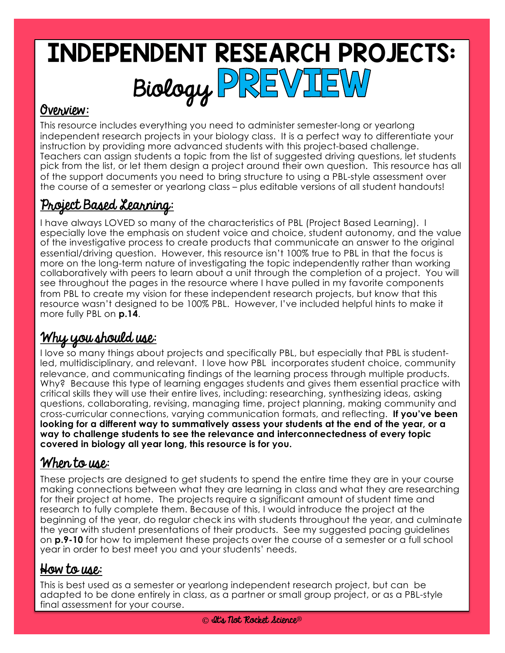# INDEPENDENT RESEARCH PROJECTS: Biology PREVIEW

### Overview:

This resource includes everything you need to administer semester-long or yearlong independent research projects in your biology class. It is a perfect way to differentiate your instruction by providing more advanced students with this project-based challenge. Teachers can assign students a topic from the list of suggested driving questions, let students pick from the list, or let them design a project around their own question. This resource has all of the support documents you need to bring structure to using a PBL-style assessment over the course of a semester or yearlong class – plus editable versions of all student handouts!

## Project Based Learning:

I have always LOVED so many of the characteristics of PBL (Project Based Learning). I especially love the emphasis on student voice and choice, student autonomy, and the value of the investigative process to create products that communicate an answer to the original essential/driving question. However, this resource isn't 100% true to PBL in that the focus is more on the long-term nature of investigating the topic independently rather than working collaboratively with peers to learn about a unit through the completion of a project. You will see throughout the pages in the resource where I have pulled in my favorite components from PBL to create my vision for these independent research projects, but know that this resource wasn't designed to be 100% PBL. However, I've included helpful hints to make it more fully PBL on **p.14**.

# Why you should use:

I love so many things about projects and specifically PBL, but especially that PBL is studentled, multidisciplinary, and relevant. I love how PBL incorporates student choice, community relevance, and communicating findings of the learning process through multiple products. Why? Because this type of learning engages students and gives them essential practice with critical skills they will use their entire lives, including: researching, synthesizing ideas, asking questions, collaborating, revising, managing time, project planning, making community and cross-curricular connections, varying communication formats, and reflecting. **If you've been looking for a different way to summatively assess your students at the end of the year, or a way to challenge students to see the relevance and interconnectedness of every topic covered in biology all year long, this resource is for you.**

## When to use:

These projects are designed to get students to spend the entire time they are in your course making connections between what they are learning in class and what they are researching for their project at home. The projects require a significant amount of student time and research to fully complete them. Because of this, I would introduce the project at the beginning of the year, do regular check ins with students throughout the year, and culminate the year with student presentations of their products. See my suggested pacing guidelines on **p.9-10** for how to implement these projects over the course of a semester or a full school year in order to best meet you and your students' needs.

## How to use:

This is best used as a semester or yearlong independent research project, but can be adapted to be done entirely in class, as a partner or small group project, or as a PBL-style final assessment for your course.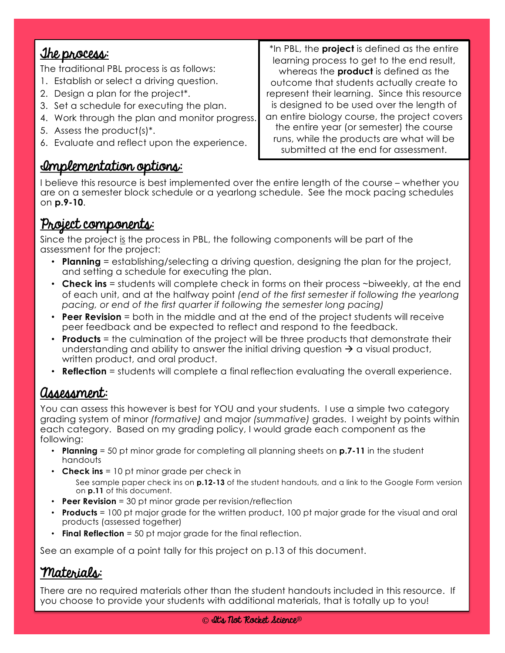### <u>The process:</u> The traditional PBL process is as follows: 1. Establish or select a driving question. 2. Design a plan for the project\*. 3. Set a schedule for executing the plan. 4. Work through the plan and monitor progress. 5. Assess the product(s)\*. 6. Evaluate and reflect upon the experience. \*In PBL, the **project** is defined as the entire learning process to get to the end result, whereas the **product** is defined as the outcome that students actually create to represent their learning. Since this resource is designed to be used over the length of an entire biology course, the project covers the entire year (or semester) the course runs, while the products are what will be submitted at the end for assessment.

### Implementation options:

I believe this resource is best implemented over the entire length of the course – whether you are on a semester block schedule or a yearlong schedule. See the mock pacing schedules on **p.9-10**.

## Project components:

Since the project is the process in PBL, the following components will be part of the assessment for the project:

- **Planning** = establishing/selecting a driving question, designing the plan for the project, and setting a schedule for executing the plan.
- **Check ins** = students will complete check in forms on their process ~biweekly, at the end of each unit, and at the halfway point *(end of the first semester if following the yearlong pacing, or end of the first quarter if following the semester long pacing)*
- **Peer Revision** = both in the middle and at the end of the project students will receive peer feedback and be expected to reflect and respond to the feedback.
- **Products** = the culmination of the project will be three products that demonstrate their understanding and ability to answer the initial driving question  $\rightarrow$  a visual product, written product, and oral product.
- **Reflection** = students will complete a final reflection evaluating the overall experience.

## Assessment:

You can assess this however is best for YOU and your students. I use a simple two category grading system of minor *(formative)* and major *(summative)* grades. I weight by points within each category. Based on my grading policy, I would grade each component as the following:

- **Planning** = 50 pt minor grade for completing all planning sheets on **p.7-11** in the student handouts
- **Check ins** = 10 pt minor grade per check in

See sample paper check ins on **p.12-13** of the student handouts, and a link to the Google Form version on **p.11** of this document.

- **Peer Revision** = 30 pt minor grade per revision/reflection
- **Products** = 100 pt major grade for the written product, 100 pt major grade for the visual and oral products (assessed together)
- **Final Reflection** = 50 pt major grade for the final reflection.

See an example of a point tally for this project on p.13 of this document.

### Materials:

There are no required materials other than the student handouts included in this resource. If you choose to provide your students with additional materials, that is totally up to you!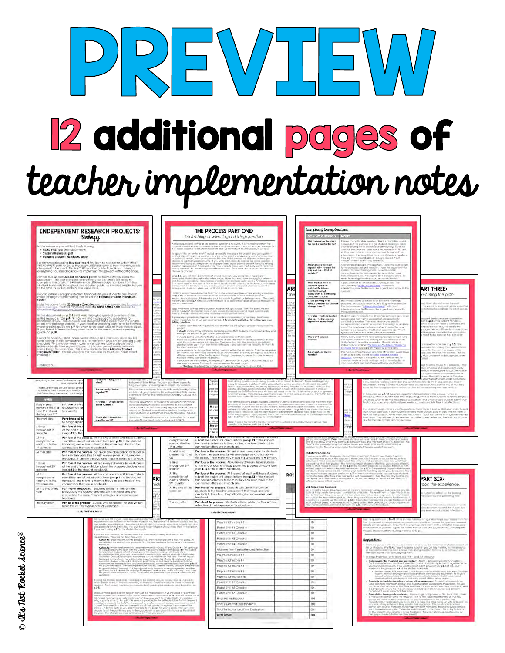# $DPL$  $\Box$ **2** additional pages of teacher implementation notes

|                                                                                                                                                                                                                                                                                                                                                                                                                          |                                                                                                                                                                                                                                               | <b>INDEPENDENT RESEARCH PROJECTS:</b>                                                                                                                                                                                             |                                                     |     |                                                                                                                                                                                                  |           | THE PROCESS PART ONE:                                                                                                                                                                                                                                                                 |                 | Examples of Draing Questions:                                                                                                                                                                                                  |                                                                                                                                                                                                                                                                    |                                                                                                                                                                                                                                                                                                                                                                                                                                                                                                                                                                                                     |
|--------------------------------------------------------------------------------------------------------------------------------------------------------------------------------------------------------------------------------------------------------------------------------------------------------------------------------------------------------------------------------------------------------------------------|-----------------------------------------------------------------------------------------------------------------------------------------------------------------------------------------------------------------------------------------------|-----------------------------------------------------------------------------------------------------------------------------------------------------------------------------------------------------------------------------------|-----------------------------------------------------|-----|--------------------------------------------------------------------------------------------------------------------------------------------------------------------------------------------------|-----------|---------------------------------------------------------------------------------------------------------------------------------------------------------------------------------------------------------------------------------------------------------------------------------------|-----------------|--------------------------------------------------------------------------------------------------------------------------------------------------------------------------------------------------------------------------------|--------------------------------------------------------------------------------------------------------------------------------------------------------------------------------------------------------------------------------------------------------------------|-----------------------------------------------------------------------------------------------------------------------------------------------------------------------------------------------------------------------------------------------------------------------------------------------------------------------------------------------------------------------------------------------------------------------------------------------------------------------------------------------------------------------------------------------------------------------------------------------------|
|                                                                                                                                                                                                                                                                                                                                                                                                                          | Biology                                                                                                                                                                                                                                       |                                                                                                                                                                                                                                   |                                                     |     |                                                                                                                                                                                                  |           | Establishing or selecting a driving question.                                                                                                                                                                                                                                         |                 | <b>TIVING QUESTION</b>                                                                                                                                                                                                         |                                                                                                                                                                                                                                                                    |                                                                                                                                                                                                                                                                                                                                                                                                                                                                                                                                                                                                     |
|                                                                                                                                                                                                                                                                                                                                                                                                                          |                                                                                                                                                                                                                                               |                                                                                                                                                                                                                                   |                                                     |     |                                                                                                                                                                                                  |           |                                                                                                                                                                                                                                                                                       |                 | Which macromolecules is<br>the most essential for life?                                                                                                                                                                        |                                                                                                                                                                                                                                                                    |                                                                                                                                                                                                                                                                                                                                                                                                                                                                                                                                                                                                     |
|                                                                                                                                                                                                                                                                                                                                                                                                                          | this resource you will fired the following                                                                                                                                                                                                    |                                                                                                                                                                                                                                   |                                                     |     |                                                                                                                                                                                                  |           | .<br>Johnna anweil der Stien fic verweis sin geweiligundlich in sich wert, in it ihm mishe wurmt im mish.<br>J. (1) waar Maramon facient der mishe freihen and all freihenden. In fact to be belood messagh (frei<br>J. (1) waar Maramo                                               |                 |                                                                                                                                                                                                                                | tels ou "déboté" thes question, There is obsoluée rearged and dépendient les matematiques de la matematique de<br>partier de la matematique de la matematique de la matematique de<br>position because we cover matematiques le la                                 |                                                                                                                                                                                                                                                                                                                                                                                                                                                                                                                                                                                                     |
| Student Handauls pull                                                                                                                                                                                                                                                                                                                                                                                                    | + READ FRST pdf (this document).                                                                                                                                                                                                              |                                                                                                                                                                                                                                   |                                                     |     |                                                                                                                                                                                                  |           |                                                                                                                                                                                                                                                                                       |                 |                                                                                                                                                                                                                                |                                                                                                                                                                                                                                                                    |                                                                                                                                                                                                                                                                                                                                                                                                                                                                                                                                                                                                     |
|                                                                                                                                                                                                                                                                                                                                                                                                                          | <b>Editable Student Handouts folde</b>                                                                                                                                                                                                        |                                                                                                                                                                                                                                   |                                                     |     |                                                                                                                                                                                                  |           |                                                                                                                                                                                                                                                                                       |                 |                                                                                                                                                                                                                                |                                                                                                                                                                                                                                                                    |                                                                                                                                                                                                                                                                                                                                                                                                                                                                                                                                                                                                     |
|                                                                                                                                                                                                                                                                                                                                                                                                                          |                                                                                                                                                                                                                                               |                                                                                                                                                                                                                                   |                                                     |     |                                                                                                                                                                                                  |           | in Apply that, only with a second model and the high shocked a flag extend to constrain the spectrum of the state of the state of the state of the state of the state of the state of the state of the state of the state of                                                          |                 | Which molecule most                                                                                                                                                                                                            |                                                                                                                                                                                                                                                                    |                                                                                                                                                                                                                                                                                                                                                                                                                                                                                                                                                                                                     |
|                                                                                                                                                                                                                                                                                                                                                                                                                          | recommend reading <b>this decument t</b> rig (zenoe the not to wably titled<br>READ FRST patt to get a thorough understanding at the war energy is<br>seagred to be used. This is YOUE teacher guide to walk you through<br>werything you nee |                                                                                                                                                                                                                                   |                                                     |     |                                                                                                                                                                                                  |           |                                                                                                                                                                                                                                                                                       |                 | impacts why you are the<br>way you are - DNA or<br>proteins?                                                                                                                                                                   |                                                                                                                                                                                                                                                                    |                                                                                                                                                                                                                                                                                                                                                                                                                                                                                                                                                                                                     |
|                                                                                                                                                                                                                                                                                                                                                                                                                          |                                                                                                                                                                                                                                               |                                                                                                                                                                                                                                   |                                                     |     | Europea Militago                                                                                                                                                                                 |           |                                                                                                                                                                                                                                                                                       |                 |                                                                                                                                                                                                                                | Another grad idetate (minimum form 1 town the co<br>formacions site and headily, Taye the logor<br>Ustrent to mean or engine at a will be most<br>convertists to discrete equation by transfigure to<br>convertise error, rist for anginal                         |                                                                                                                                                                                                                                                                                                                                                                                                                                                                                                                                                                                                     |
|                                                                                                                                                                                                                                                                                                                                                                                                                          | Print or pull up the <b>Student Handauts pull</b> to reference as you read this<br>Occurrent, This part complete eventing your STUSEAIS will need to<br>complete the payed. I will reference affirered page numbers hand the<br>Judent Rondo  |                                                                                                                                                                                                                                   |                                                     |     |                                                                                                                                                                                                  |           | Chip Sub, joo wal mar 15 aantrales of viewing guesticity you constitues , it cave been<br>Simple and You all of spantian for a binn verse, it jeen mar hould you all engaging a minimative<br>The convergences . You all not span po                                                  |                 |                                                                                                                                                                                                                                | any interesting directions students could fails inju-                                                                                                                                                                                                              |                                                                                                                                                                                                                                                                                                                                                                                                                                                                                                                                                                                                     |
|                                                                                                                                                                                                                                                                                                                                                                                                                          |                                                                                                                                                                                                                                               |                                                                                                                                                                                                                                   |                                                     |     |                                                                                                                                                                                                  |           |                                                                                                                                                                                                                                                                                       |                 | What matters most in                                                                                                                                                                                                           | Agisin, chother potential debote three qualitan: The                                                                                                                                                                                                               |                                                                                                                                                                                                                                                                                                                                                                                                                                                                                                                                                                                                     |
|                                                                                                                                                                                                                                                                                                                                                                                                                          |                                                                                                                                                                                                                                               |                                                                                                                                                                                                                                   |                                                     |     |                                                                                                                                                                                                  |           |                                                                                                                                                                                                                                                                                       | AR <sup>1</sup> | ociety's quest for<br>iustalnable ilving –                                                                                                                                                                                     | socumentary " <u>A Life on Carl Parent</u> " with David<br>Henborough on Refflix would be a great entry avant to free                                                                                                                                              | ART THREE:                                                                                                                                                                                                                                                                                                                                                                                                                                                                                                                                                                                          |
|                                                                                                                                                                                                                                                                                                                                                                                                                          |                                                                                                                                                                                                                                               |                                                                                                                                                                                                                                   |                                                     |     |                                                                                                                                                                                                  |           |                                                                                                                                                                                                                                                                                       | tts             | maintaining high<br>biodiversity or cont<br>carbon emissions?                                                                                                                                                                  |                                                                                                                                                                                                                                                                    | recuting the plan.                                                                                                                                                                                                                                                                                                                                                                                                                                                                                                                                                                                  |
|                                                                                                                                                                                                                                                                                                                                                                                                                          | Poor to odministering the student fiandouts to your students, telefone to<br>moke changes to them using the film in the Editoble Student Handouts.<br>folder,                                                                                 |                                                                                                                                                                                                                                   |                                                     |     |                                                                                                                                                                                                  |           | Inglish freedomment desing fra RABTY as a 19 de arrivar year dese annunces ancing acrossimes.<br>In B.P. Official interaction management insert inner a goalglas to anno an heal (Alagon) - i<br>Popular trudents has a life as end                                                   |                 |                                                                                                                                                                                                                                |                                                                                                                                                                                                                                                                    |                                                                                                                                                                                                                                                                                                                                                                                                                                                                                                                                                                                                     |
|                                                                                                                                                                                                                                                                                                                                                                                                                          | light free curve for it <b>in 25 domain a Bood Sine one can be downwood</b> (curve)                                                                                                                                                           |                                                                                                                                                                                                                                   |                                                     |     |                                                                                                                                                                                                  |           |                                                                                                                                                                                                                                                                                       |                 | Could planting trees<br>REALLY combat our c<br>change trives?                                                                                                                                                                  | till jobylián (liverty so lámonic for all que csimal le chonger<br>sobjetms, but cruela <mark>il maciumation ar lángulerm all</mark> filmocad<br>his documientary " <u>A Line on Que Paline</u> " with Donal<br>tillimbo-luigh on Heiffiz would be a grea<br>$-10$ | Thosen plans shall redore those and<br>is protect to children by his companies                                                                                                                                                                                                                                                                                                                                                                                                                                                                                                                      |
|                                                                                                                                                                                                                                                                                                                                                                                                                          | the total contractions<br>advertises to the factor that                                                                                                                                                                                       |                                                                                                                                                                                                                                   |                                                     |     |                                                                                                                                                                                                  |           | this. Write norm of front skiring sustiture lump is 100K split crosset (find's for point) fra dox<br>oekeel "Cleasere" ABICSUTELY Kulye no nami anewer, byt ane multe i record for any symmetry really.<br>Hit may directly in blown is used using recording to blow up their claims. |                 |                                                                                                                                                                                                                                |                                                                                                                                                                                                                                                                    | the to complete the right linkse                                                                                                                                                                                                                                                                                                                                                                                                                                                                                                                                                                    |
|                                                                                                                                                                                                                                                                                                                                                                                                                          |                                                                                                                                                                                                                                               |                                                                                                                                                                                                                                   |                                                     |     |                                                                                                                                                                                                  |           |                                                                                                                                                                                                                                                                                       |                 |                                                                                                                                                                                                                                |                                                                                                                                                                                                                                                                    |                                                                                                                                                                                                                                                                                                                                                                                                                                                                                                                                                                                                     |
|                                                                                                                                                                                                                                                                                                                                                                                                                          |                                                                                                                                                                                                                                               |                                                                                                                                                                                                                                   |                                                     |     | <b>Willing questions:</b>                                                                                                                                                                        |           | you and no your eligible is would be to avoid your and allows counting - limits and .<br>Then mapphily the lift wit get you happed. A few helpful guidelines for writing your own                                                                                                     |                 | Now does the inhoduction<br>of a non-native species<br>impact on ecosystem?                                                                                                                                                    |                                                                                                                                                                                                                                                                    | on a 2 at the Bustern handous.                                                                                                                                                                                                                                                                                                                                                                                                                                                                                                                                                                      |
|                                                                                                                                                                                                                                                                                                                                                                                                                          | n Phi document on <b>p.2.3</b> kwill was fireauth a general aveniew of the<br>mithe minimization. This results was designed to be force over the limit<br>motern politic groups. If you head is a general to be force over the line group     |                                                                                                                                                                                                                                   |                                                     |     |                                                                                                                                                                                                  |           | uses to be the MAIN question your students will be tying to answer thoughout the                                                                                                                                                                                                      |                 |                                                                                                                                                                                                                                | and int                                                                                                                                                                                                                                                            | ankab tray heald to icurigatily the<br>show her. They will credite the                                                                                                                                                                                                                                                                                                                                                                                                                                                                                                                              |
| quickle on p.10.                                                                                                                                                                                                                                                                                                                                                                                                         |                                                                                                                                                                                                                                               |                                                                                                                                                                                                                                   |                                                     |     |                                                                                                                                                                                                  |           |                                                                                                                                                                                                                                                                                       |                 |                                                                                                                                                                                                                                | Studient can investigable the difference between spectral<br>through the studient of the property spectra field and more than<br>the distribution of the property of the property of the property of<br>the studient and the best prop                             | yes. We would them to choose data<br>be colled fo rafer to their corn.                                                                                                                                                                                                                                                                                                                                                                                                                                                                                                                              |
|                                                                                                                                                                                                                                                                                                                                                                                                                          |                                                                                                                                                                                                                                               |                                                                                                                                                                                                                                   |                                                     |     |                                                                                                                                                                                                  |           |                                                                                                                                                                                                                                                                                       |                 | Why can't we also<br>cancer?                                                                                                                                                                                                   |                                                                                                                                                                                                                                                                    | with his bie dione so they clon willier                                                                                                                                                                                                                                                                                                                                                                                                                                                                                                                                                             |
|                                                                                                                                                                                                                                                                                                                                                                                                                          |                                                                                                                                                                                                                                               |                                                                                                                                                                                                                                   |                                                     |     |                                                                                                                                                                                                  |           |                                                                                                                                                                                                                                                                                       |                 |                                                                                                                                                                                                                                |                                                                                                                                                                                                                                                                    |                                                                                                                                                                                                                                                                                                                                                                                                                                                                                                                                                                                                     |
|                                                                                                                                                                                                                                                                                                                                                                                                                          | i war it forscell du Histò Harar voltant litius a si contascual de my bill<br>electronic control de la Thomas (Eu Felixe de la Teneral de Ties Louis) public<br>electronic Phy care Judicial Process (Eu Felixe Care Isab) ba una gr          |                                                                                                                                                                                                                                   |                                                     |     |                                                                                                                                                                                                  |           | arrested a report oriental constructions (archives) and in distributions of the priori and the state and the state and the state of the state of the state of the state of the state of the state of the state of the state o                                                         |                 |                                                                                                                                                                                                                                | Milinfy withy slindert will have sometime of the will ment with<br>has experimented chinals, making this a question studients<br>had experiment a know the provider to. Showing slinders<br>in the most carton (for most up for the exp                            | on schedule on p.10 in line<br>ristat for historic (he                                                                                                                                                                                                                                                                                                                                                                                                                                                                                                                                              |
|                                                                                                                                                                                                                                                                                                                                                                                                                          |                                                                                                                                                                                                                                               |                                                                                                                                                                                                                                   |                                                     |     |                                                                                                                                                                                                  |           | Les distributions explicit Product Theoretics and the product of the structure Theoretics applied to the structure of the structure of the structure of the structure of the structure of the structure of the structure of t                                                         |                 | Are mutations always<br>harmful?                                                                                                                                                                                               | The most commonly linies example of the (that could see<br>on an entry event) = evid be going only and the state of the state of<br>our most contained be appeared to be a simple year for a state of<br>most condition to the species                             | the On the next two pages of his .<br>guides for YOU, frill teacher. The first                                                                                                                                                                                                                                                                                                                                                                                                                                                                                                                      |
| i priikin                                                                                                                                                                                                                                                                                                                                                                                                                |                                                                                                                                                                                                                                               |                                                                                                                                                                                                                                   |                                                     |     |                                                                                                                                                                                                  |           |                                                                                                                                                                                                                                                                                       |                 |                                                                                                                                                                                                                                |                                                                                                                                                                                                                                                                    | tion this profile the of frow tyre are                                                                                                                                                                                                                                                                                                                                                                                                                                                                                                                                                              |
|                                                                                                                                                                                                                                                                                                                                                                                                                          |                                                                                                                                                                                                                                               |                                                                                                                                                                                                                                   |                                                     |     |                                                                                                                                                                                                  |           |                                                                                                                                                                                                                                                                                       |                 |                                                                                                                                                                                                                                |                                                                                                                                                                                                                                                                    |                                                                                                                                                                                                                                                                                                                                                                                                                                                                                                                                                                                                     |
| Rebecco                                                                                                                                                                                                                                                                                                                                                                                                                  |                                                                                                                                                                                                                                               |                                                                                                                                                                                                                                   |                                                     |     |                                                                                                                                                                                                  |           |                                                                                                                                                                                                                                                                                       |                 |                                                                                                                                                                                                                                |                                                                                                                                                                                                                                                                    | VIII/I VARDIN AND BAD WITHOUT ADD                                                                                                                                                                                                                                                                                                                                                                                                                                                                                                                                                                   |
|                                                                                                                                                                                                                                                                                                                                                                                                                          |                                                                                                                                                                                                                                               |                                                                                                                                                                                                                                   |                                                     |     |                                                                                                                                                                                                  |           |                                                                                                                                                                                                                                                                                       |                 |                                                                                                                                                                                                                                |                                                                                                                                                                                                                                                                    | lors all requires the case.<br>In series the fundamental state                                                                                                                                                                                                                                                                                                                                                                                                                                                                                                                                      |
|                                                                                                                                                                                                                                                                                                                                                                                                                          |                                                                                                                                                                                                                                               |                                                                                                                                                                                                                                   |                                                     |     |                                                                                                                                                                                                  |           |                                                                                                                                                                                                                                                                                       |                 |                                                                                                                                                                                                                                |                                                                                                                                                                                                                                                                    | i livegh fre project alongside<br>intigl Instructions and combinion                                                                                                                                                                                                                                                                                                                                                                                                                                                                                                                                 |
| averything in the 's                                                                                                                                                                                                                                                                                                                                                                                                     | OVA KIN KH                                                                                                                                                                                                                                    |                                                                                                                                                                                                                                   |                                                     |     | ian component<br>ilwimn at Iwing things. You can ave them a gaedlic<br>Your and plant to investigate to smokly, if you desire                                                                    |           |                                                                                                                                                                                                                                                                                       |                 |                                                                                                                                                                                                                                | cu knush u ywsiten<br>nd young it for the tecond is                                                                                                                                                                                                                | course but only wont shadenly to do the in one seminate, Hitalys                                                                                                                                                                                                                                                                                                                                                                                                                                                                                                                                    |
|                                                                                                                                                                                                                                                                                                                                                                                                                          |                                                                                                                                                                                                                                               |                                                                                                                                                                                                                                   |                                                     |     |                                                                                                                                                                                                  |           |                                                                                                                                                                                                                                                                                       |                 |                                                                                                                                                                                                                                | the ALL Rie bursiplound information from the Bullisemeder they convision back to.                                                                                                                                                                                  | Mall your flativity shudlends, mot finis find, are fright filary                                                                                                                                                                                                                                                                                                                                                                                                                                                                                                                                    |
|                                                                                                                                                                                                                                                                                                                                                                                                                          |                                                                                                                                                                                                                                               | Are we really "better                                                                                                                                                                                                             |                                                     |     |                                                                                                                                                                                                  |           |                                                                                                                                                                                                                                                                                       |                 |                                                                                                                                                                                                                                |                                                                                                                                                                                                                                                                    |                                                                                                                                                                                                                                                                                                                                                                                                                                                                                                                                                                                                     |
| Matte: Depending on your school year<br>capacity to puid in more class time for<br>Just fullow the guide below This is delig                                                                                                                                                                                                                                                                                             |                                                                                                                                                                                                                                               | ogether <sup>*</sup>                                                                                                                                                                                                              |                                                     |     | .<br>This question is designed by students to sendy investigate live<br>analytics of group behaves for both yields of MiD species<br>chances to service and reproduce (inspired by HS-1/2-2 from |           |                                                                                                                                                                                                                                                                                       |                 |                                                                                                                                                                                                                                | frill golden on p.9-10. Locavion suggestions for such step in the process - when to                                                                                                                                                                                |                                                                                                                                                                                                                                                                                                                                                                                                                                                                                                                                                                                                     |
|                                                                                                                                                                                                                                                                                                                                                                                                                          |                                                                                                                                                                                                                                               |                                                                                                                                                                                                                                   |                                                     |     |                                                                                                                                                                                                  |           |                                                                                                                                                                                                                                                                                       |                 | in determine the control of the property of the control of the control of the control of the control of the control of the control of the control of the control of the control of the control of the control of the control o |                                                                                                                                                                                                                                                                    |                                                                                                                                                                                                                                                                                                                                                                                                                                                                                                                                                                                                     |
| WHEN                                                                                                                                                                                                                                                                                                                                                                                                                     |                                                                                                                                                                                                                                               |                                                                                                                                                                                                                                   |                                                     |     |                                                                                                                                                                                                  |           |                                                                                                                                                                                                                                                                                       |                 |                                                                                                                                                                                                                                | nima), caj al kam lo bulid le cizza tima for plaanleg, al lan lo tigea sludants completa program<br>Inactions: Whan is dic mid-presed paar a antaction, chid ankan to hove thedaels submit<br>Indi products, receive orbit-lond paer                               |                                                                                                                                                                                                                                                                                                                                                                                                                                                                                                                                                                                                     |
|                                                                                                                                                                                                                                                                                                                                                                                                                          |                                                                                                                                                                                                                                               | fow does eutrophication<br>iffect humans?                                                                                                                                                                                         | love the opportunity for thirden's to look at envi- |     |                                                                                                                                                                                                  |           |                                                                                                                                                                                                                                                                                       |                 |                                                                                                                                                                                                                                |                                                                                                                                                                                                                                                                    |                                                                                                                                                                                                                                                                                                                                                                                                                                                                                                                                                                                                     |
|                                                                                                                                                                                                                                                                                                                                                                                                                          | Part one of the                                                                                                                                                                                                                               |                                                                                                                                                                                                                                   |                                                     |     |                                                                                                                                                                                                  |           |                                                                                                                                                                                                                                                                                       |                 |                                                                                                                                                                                                                                |                                                                                                                                                                                                                                                                    |                                                                                                                                                                                                                                                                                                                                                                                                                                                                                                                                                                                                     |
|                                                                                                                                                                                                                                                                                                                                                                                                                          | engagement                                                                                                                                                                                                                                    |                                                                                                                                                                                                                                   |                                                     |     |                                                                                                                                                                                                  |           |                                                                                                                                                                                                                                                                                       |                 |                                                                                                                                                                                                                                |                                                                                                                                                                                                                                                                    |                                                                                                                                                                                                                                                                                                                                                                                                                                                                                                                                                                                                     |
|                                                                                                                                                                                                                                                                                                                                                                                                                          | to students.                                                                                                                                                                                                                                  |                                                                                                                                                                                                                                   |                                                     |     |                                                                                                                                                                                                  |           | the pr<br>Int an                                                                                                                                                                                                                                                                      |                 |                                                                                                                                                                                                                                |                                                                                                                                                                                                                                                                    |                                                                                                                                                                                                                                                                                                                                                                                                                                                                                                                                                                                                     |
|                                                                                                                                                                                                                                                                                                                                                                                                                          | Parts two and t                                                                                                                                                                                                                               | Could plant-based diets                                                                                                                                                                                                           |                                                     |     |                                                                                                                                                                                                  |           | i del del inglazione possibilità in una la processione del promunera disappi si che la propiesa del controllat<br>producto prima propiesa in una la processo del controllato del controllato del considerato del controllato de<br><br>nd the                                         |                 |                                                                                                                                                                                                                                | Ħ                                                                                                                                                                                                                                                                  |                                                                                                                                                                                                                                                                                                                                                                                                                                                                                                                                                                                                     |
|                                                                                                                                                                                                                                                                                                                                                                                                                          | lo design a pic                                                                                                                                                                                                                               | save the world?                                                                                                                                                                                                                   |                                                     |     | I lave thew this question connects a modern foa to the real<br>shugalli of twing (sufatinably (inspired by H3+3#-6).                                                                             |           | rsolon                                                                                                                                                                                                                                                                                |                 |                                                                                                                                                                                                                                | henerster masge, there are just suggestare. Parts the at a sent for YOU, your trusteric and<br>contribute baterials: If your Mudleth will read market suggest. Evalls of basic trains an internal is the<br>net Cott feel project. A                               |                                                                                                                                                                                                                                                                                                                                                                                                                                                                                                                                                                                                     |
|                                                                                                                                                                                                                                                                                                                                                                                                                          | Part four of the                                                                                                                                                                                                                              |                                                                                                                                                                                                                                   |                                                     |     |                                                                                                                                                                                                  |           | USE formula the more the this his successives sharenessed and simplementally consist. The more than<br>the p                                                                                                                                                                          |                 |                                                                                                                                                                                                                                | WO                                                                                                                                                                                                                                                                 |                                                                                                                                                                                                                                                                                                                                                                                                                                                                                                                                                                                                     |
|                                                                                                                                                                                                                                                                                                                                                                                                                          | at the end of                                                                                                                                                                                                                                 |                                                                                                                                                                                                                                   |                                                     |     |                                                                                                                                                                                                  |           | <b>The</b>                                                                                                                                                                                                                                                                            |                 |                                                                                                                                                                                                                                |                                                                                                                                                                                                                                                                    |                                                                                                                                                                                                                                                                                                                                                                                                                                                                                                                                                                                                     |
|                                                                                                                                                                                                                                                                                                                                                                                                                          | (see p.12 of th                                                                                                                                                                                                                               |                                                                                                                                                                                                                                   |                                                     |     |                                                                                                                                                                                                  |           | ihe r                                                                                                                                                                                                                                                                                 |                 |                                                                                                                                                                                                                                |                                                                                                                                                                                                                                                                    |                                                                                                                                                                                                                                                                                                                                                                                                                                                                                                                                                                                                     |
|                                                                                                                                                                                                                                                                                                                                                                                                                          | Part four of the process. At the end of en                                                                                                                                                                                                    |                                                                                                                                                                                                                                   |                                                     |     | to noiteigma:                                                                                                                                                                                    |           | ubmit the end of unit check-in form (see p.13 of the student                                                                                                                                                                                                                          |                 |                                                                                                                                                                                                                                |                                                                                                                                                                                                                                                                    |                                                                                                                                                                                                                                                                                                                                                                                                                                                                                                                                                                                                     |
|                                                                                                                                                                                                                                                                                                                                                                                                                          | connections they see in each unit.                                                                                                                                                                                                            | submit the end of unit check-in form (see <b>p.13</b> of the student<br>handcols) and return to them so they can keep frack of the                                                                                                |                                                     |     | each unil in the<br>I <sup>I</sup> quarter                                                                                                                                                       |           | handculs) and return to them so they can keep track at the<br>onnections they see in each unit.                                                                                                                                                                                       |                 |                                                                                                                                                                                                                                |                                                                                                                                                                                                                                                                    |                                                                                                                                                                                                                                                                                                                                                                                                                                                                                                                                                                                                     |
|                                                                                                                                                                                                                                                                                                                                                                                                                          |                                                                                                                                                                                                                                               |                                                                                                                                                                                                                                   |                                                     |     | At midtern                                                                                                                                                                                       |           | Part four of the process. Set aside one class period for students.                                                                                                                                                                                                                    |                 | alacomatic what they point<br>is also a popular tong and a<br>is also a popular tong which the<br>intervalse file iong which the                                                                                               | <b>Floris</b> des sylves shatistik will relat back to ther companion moves<br>of they pain to do be leaves now and their rest check-to. Because<br>it long stad dating moves space acust share be elly alta mate (if a<br>ong which displant                       |                                                                                                                                                                                                                                                                                                                                                                                                                                                                                                                                                                                                     |
|                                                                                                                                                                                                                                                                                                                                                                                                                          |                                                                                                                                                                                                                                               | Part four of the process. Set calde one class period for students<br>to share their work thus far with several peers and to receive                                                                                               |                                                     |     | between Q1 and                                                                                                                                                                                   |           | to share their work thas far with several peers and to receive                                                                                                                                                                                                                        |                 | Ind of Unit Check-Ins                                                                                                                                                                                                          |                                                                                                                                                                                                                                                                    |                                                                                                                                                                                                                                                                                                                                                                                                                                                                                                                                                                                                     |
|                                                                                                                                                                                                                                                                                                                                                                                                                          |                                                                                                                                                                                                                                               | feedback. From there they should make revisions to their work.                                                                                                                                                                    |                                                     |     | $^{22}$                                                                                                                                                                                          |           | eedback. From there they should make revisions to their work.                                                                                                                                                                                                                         |                 |                                                                                                                                                                                                                                |                                                                                                                                                                                                                                                                    |                                                                                                                                                                                                                                                                                                                                                                                                                                                                                                                                                                                                     |
|                                                                                                                                                                                                                                                                                                                                                                                                                          |                                                                                                                                                                                                                                               |                                                                                                                                                                                                                                   |                                                     |     | 3-times<br>throughout 2 <sup>rd</sup>                                                                                                                                                            |           | Part four of the process. About every 2 weeks, have students<br>at the end of class on Friday submit the progress check-in form.                                                                                                                                                      |                 |                                                                                                                                                                                                                                |                                                                                                                                                                                                                                                                    |                                                                                                                                                                                                                                                                                                                                                                                                                                                                                                                                                                                                     |
|                                                                                                                                                                                                                                                                                                                                                                                                                          | isee p.12 of the student handouts).                                                                                                                                                                                                           | Part four of the process. About every 2-3 weeks, have students at the end of class on Friday submit the progress check-in form                                                                                                    |                                                     |     | quarter                                                                                                                                                                                          |           | see p.12 of the student handouts).                                                                                                                                                                                                                                                    |                 |                                                                                                                                                                                                                                |                                                                                                                                                                                                                                                                    |                                                                                                                                                                                                                                                                                                                                                                                                                                                                                                                                                                                                     |
|                                                                                                                                                                                                                                                                                                                                                                                                                          |                                                                                                                                                                                                                                               |                                                                                                                                                                                                                                   |                                                     |     | Al the                                                                                                                                                                                           |           | Part four of the process. At the end of each unit have students<br>submit the end of unit check-in form (tee p.13 of the student                                                                                                                                                      | RCH             |                                                                                                                                                                                                                                |                                                                                                                                                                                                                                                                    |                                                                                                                                                                                                                                                                                                                                                                                                                                                                                                                                                                                                     |
|                                                                                                                                                                                                                                                                                                                                                                                                                          |                                                                                                                                                                                                                                               | Part four of the process. All the end at each unit, have students submit the end of unit check-in form (see p.13 of the student<br>handouts) and return to them so they can keep track of the                                     |                                                     | ART | to inditidentos<br>each unit in the                                                                                                                                                              |           | handouts) and return to them so they can keep track of the                                                                                                                                                                                                                            |                 | can bis come his Grand watchman                                                                                                                                                                                                | <b>If all the Checkman in the case of the contract of the contract of the contract of the contract of the contract of the contract of the contract of the contract of the contract of the contract of the contract of the contr</b>                                | PART SIX:                                                                                                                                                                                                                                                                                                                                                                                                                                                                                                                                                                                           |
|                                                                                                                                                                                                                                                                                                                                                                                                                          | onnections they see in each unit.                                                                                                                                                                                                             |                                                                                                                                                                                                                                   |                                                     | od  | mi quarter                                                                                                                                                                                       |           | connections they see in each unit.                                                                                                                                                                                                                                                    |                 |                                                                                                                                                                                                                                |                                                                                                                                                                                                                                                                    |                                                                                                                                                                                                                                                                                                                                                                                                                                                                                                                                                                                                     |
|                                                                                                                                                                                                                                                                                                                                                                                                                          |                                                                                                                                                                                                                                               | Part five of the process. Students will submit their written                                                                                                                                                                      |                                                     |     | At the end of the<br>arruster                                                                                                                                                                    |           | Part five of the process. Students will submit their written                                                                                                                                                                                                                          |                 | <b>Mid-Prisect Paer Feedback</b>                                                                                                                                                                                               |                                                                                                                                                                                                                                                                    |                                                                                                                                                                                                                                                                                                                                                                                                                                                                                                                                                                                                     |
|                                                                                                                                                                                                                                                                                                                                                                                                                          |                                                                                                                                                                                                                                               | products to the feacher and present their visual and oral<br>reducts to the class. They will be th give and receive pays                                                                                                          |                                                     |     |                                                                                                                                                                                                  |           | products to the teacher and present their visual and aral<br>products to the class. They will both give and receive peer                                                                                                                                                              |                 |                                                                                                                                                                                                                                |                                                                                                                                                                                                                                                                    | Lebastilt for californi and that the                                                                                                                                                                                                                                                                                                                                                                                                                                                                                                                                                                |
|                                                                                                                                                                                                                                                                                                                                                                                                                          | feedback.                                                                                                                                                                                                                                     |                                                                                                                                                                                                                                   |                                                     |     |                                                                                                                                                                                                  | leedback. |                                                                                                                                                                                                                                                                                       |                 |                                                                                                                                                                                                                                |                                                                                                                                                                                                                                                                    |                                                                                                                                                                                                                                                                                                                                                                                                                                                                                                                                                                                                     |
|                                                                                                                                                                                                                                                                                                                                                                                                                          |                                                                                                                                                                                                                                               | Part six of the process. Students will complete the final written                                                                                                                                                                 |                                                     |     | The day after                                                                                                                                                                                    |           |                                                                                                                                                                                                                                                                                       |                 |                                                                                                                                                                                                                                |                                                                                                                                                                                                                                                                    |                                                                                                                                                                                                                                                                                                                                                                                                                                                                                                                                                                                                     |
| Early in year.<br>between linghing<br>our I <sup>w</sup> unil and<br>starting your 2 <sup>et</sup><br>The next day.<br>5 times<br>throughout 1st<br>ernester<br>AT the<br>completion of<br>each unit in the<br>i <sup>n</sup> semester<br>Al miditerm<br>5.limes<br>throughout 2nd<br>emester<br>At the<br>completion of<br>each unit in the<br>2 <sup>nd</sup> vernester<br>At the end of the<br>veice<br>The day after | fliection of their experience for submission.                                                                                                                                                                                                 |                                                                                                                                                                                                                                   |                                                     |     |                                                                                                                                                                                                  |           | Part six of the process. Students will complete the final written reflection of their imperience for submission.                                                                                                                                                                      |                 |                                                                                                                                                                                                                                | at Phapes Technical Society medicing at the system and control materials and the state of the system of the sys<br>and at the property of the system of the system of the system of the system of the system of the system of<br>the                               | 0.84 15.01                                                                                                                                                                                                                                                                                                                                                                                                                                                                                                                                                                                          |
|                                                                                                                                                                                                                                                                                                                                                                                                                          | in disc first Taylor, Associate                                                                                                                                                                                                               |                                                                                                                                                                                                                                   |                                                     |     |                                                                                                                                                                                                  |           | in dits First Knock Animal                                                                                                                                                                                                                                                            |                 |                                                                                                                                                                                                                                |                                                                                                                                                                                                                                                                    | i bitin - yi - ord ili<br>telefonod a lidel i                                                                                                                                                                                                                                                                                                                                                                                                                                                                                                                                                       |
|                                                                                                                                                                                                                                                                                                                                                                                                                          |                                                                                                                                                                                                                                               |                                                                                                                                                                                                                                   |                                                     |     |                                                                                                                                                                                                  |           |                                                                                                                                                                                                                                                                                       |                 |                                                                                                                                                                                                                                | http://b.18-19.cf/fra.c/                                                                                                                                                                                                                                           | C QUEST PHYSICITY VIOLEN                                                                                                                                                                                                                                                                                                                                                                                                                                                                                                                                                                            |
|                                                                                                                                                                                                                                                                                                                                                                                                                          |                                                                                                                                                                                                                                               |                                                                                                                                                                                                                                   |                                                     |     |                                                                                                                                                                                                  |           | Irogress Check-In #5                                                                                                                                                                                                                                                                  |                 | $\overline{10}$                                                                                                                                                                                                                |                                                                                                                                                                                                                                                                    |                                                                                                                                                                                                                                                                                                                                                                                                                                                                                                                                                                                                     |
|                                                                                                                                                                                                                                                                                                                                                                                                                          |                                                                                                                                                                                                                                               |                                                                                                                                                                                                                                   |                                                     |     |                                                                                                                                                                                                  |           | Snd of Unit #1 Check-in                                                                                                                                                                                                                                                               |                 | 10                                                                                                                                                                                                                             |                                                                                                                                                                                                                                                                    |                                                                                                                                                                                                                                                                                                                                                                                                                                                                                                                                                                                                     |
|                                                                                                                                                                                                                                                                                                                                                                                                                          |                                                                                                                                                                                                                                               | ind presentation in the reflected that that we means the sensor at Case<br>In the most reflection of more than the case of the sense in the rate of the more than properties in the<br>You want using pull in the duded shoulded. |                                                     |     |                                                                                                                                                                                                  |           | <b>End of finit #2 Check-in</b>                                                                                                                                                                                                                                                       |                 | 10                                                                                                                                                                                                                             | lives 5 pm permanellon, relating in a triter of 50 pm.                                                                                                                                                                                                             |                                                                                                                                                                                                                                                                                                                                                                                                                                                                                                                                                                                                     |
|                                                                                                                                                                                                                                                                                                                                                                                                                          |                                                                                                                                                                                                                                               | and shart out term. An the very leath Leasenmarket & Gretary Wrath Marmot for.<br>Mallerie, "Newslers the third field wager                                                                                                       |                                                     |     |                                                                                                                                                                                                  |           | Fria at title #3 Check-la                                                                                                                                                                                                                                                             |                 | īö.                                                                                                                                                                                                                            |                                                                                                                                                                                                                                                                    |                                                                                                                                                                                                                                                                                                                                                                                                                                                                                                                                                                                                     |
|                                                                                                                                                                                                                                                                                                                                                                                                                          |                                                                                                                                                                                                                                               | Calling #1, treval students up (45 proup) of 44. They will from present to harp mm group. At the present the period of the procedure for the period of the period of the period of the student                                    |                                                     |     |                                                                                                                                                                                                  |           |                                                                                                                                                                                                                                                                                       |                 |                                                                                                                                                                                                                                | Helpful Hirts                                                                                                                                                                                                                                                      |                                                                                                                                                                                                                                                                                                                                                                                                                                                                                                                                                                                                     |
|                                                                                                                                                                                                                                                                                                                                                                                                                          |                                                                                                                                                                                                                                               |                                                                                                                                                                                                                                   |                                                     |     |                                                                                                                                                                                                  |           | Brid of Unit #4 Check-In                                                                                                                                                                                                                                                              |                 | 10 <sup>2</sup>                                                                                                                                                                                                                |                                                                                                                                                                                                                                                                    |                                                                                                                                                                                                                                                                                                                                                                                                                                                                                                                                                                                                     |
|                                                                                                                                                                                                                                                                                                                                                                                                                          |                                                                                                                                                                                                                                               |                                                                                                                                                                                                                                   |                                                     |     |                                                                                                                                                                                                  |           | Midlerm Faur Evaluation and Fathection                                                                                                                                                                                                                                                |                 | 30                                                                                                                                                                                                                             |                                                                                                                                                                                                                                                                    |                                                                                                                                                                                                                                                                                                                                                                                                                                                                                                                                                                                                     |
|                                                                                                                                                                                                                                                                                                                                                                                                                          |                                                                                                                                                                                                                                               |                                                                                                                                                                                                                                   |                                                     |     |                                                                                                                                                                                                  |           | Progress Chuckin #6                                                                                                                                                                                                                                                                   |                 | 10                                                                                                                                                                                                                             | To from this project leven mon-true (PBC) and find bisyons:                                                                                                                                                                                                        |                                                                                                                                                                                                                                                                                                                                                                                                                                                                                                                                                                                                     |
|                                                                                                                                                                                                                                                                                                                                                                                                                          |                                                                                                                                                                                                                                               |                                                                                                                                                                                                                                   |                                                     |     |                                                                                                                                                                                                  |           | Progross Check-In #7                                                                                                                                                                                                                                                                  |                 | 10                                                                                                                                                                                                                             |                                                                                                                                                                                                                                                                    |                                                                                                                                                                                                                                                                                                                                                                                                                                                                                                                                                                                                     |
|                                                                                                                                                                                                                                                                                                                                                                                                                          |                                                                                                                                                                                                                                               |                                                                                                                                                                                                                                   |                                                     |     |                                                                                                                                                                                                  |           | Progress Check-In #B                                                                                                                                                                                                                                                                  |                 | 1D                                                                                                                                                                                                                             |                                                                                                                                                                                                                                                                    | pon the experience.<br>Aniperreg of My gress Atta Ball<br>tis. If you won't lookings it implie, you can fissue afusion to use consumer five guestions provided.<br>Involvement for documents, it you want to amout up, have ment with a reflective every wing<br>in question on piramolic. Agains ida what is beef for YFU and you involving to margin mate<br>he wore you can plow to stoped visits and choice. Instrume means glut the project vs<br>No V2 Michael : We EARLY earn't Nordman to buy in and bit fully making in firm release.<br>Io Heckermond lightig them afrocas their diving q |
|                                                                                                                                                                                                                                                                                                                                                                                                                          |                                                                                                                                                                                                                                               |                                                                                                                                                                                                                                   |                                                     |     |                                                                                                                                                                                                  |           | Rogram Check in #9                                                                                                                                                                                                                                                                    |                 | 10                                                                                                                                                                                                                             |                                                                                                                                                                                                                                                                    |                                                                                                                                                                                                                                                                                                                                                                                                                                                                                                                                                                                                     |
|                                                                                                                                                                                                                                                                                                                                                                                                                          |                                                                                                                                                                                                                                               |                                                                                                                                                                                                                                   |                                                     |     |                                                                                                                                                                                                  |           | Program Check as #10                                                                                                                                                                                                                                                                  |                 | 10 <sup>1</sup>                                                                                                                                                                                                                |                                                                                                                                                                                                                                                                    |                                                                                                                                                                                                                                                                                                                                                                                                                                                                                                                                                                                                     |
|                                                                                                                                                                                                                                                                                                                                                                                                                          |                                                                                                                                                                                                                                               |                                                                                                                                                                                                                                   |                                                     |     |                                                                                                                                                                                                  |           |                                                                                                                                                                                                                                                                                       |                 |                                                                                                                                                                                                                                |                                                                                                                                                                                                                                                                    |                                                                                                                                                                                                                                                                                                                                                                                                                                                                                                                                                                                                     |
|                                                                                                                                                                                                                                                                                                                                                                                                                          |                                                                                                                                                                                                                                               |                                                                                                                                                                                                                                   |                                                     |     |                                                                                                                                                                                                  |           | End of Unit #5 Check-In                                                                                                                                                                                                                                                               |                 | 10                                                                                                                                                                                                                             |                                                                                                                                                                                                                                                                    |                                                                                                                                                                                                                                                                                                                                                                                                                                                                                                                                                                                                     |
|                                                                                                                                                                                                                                                                                                                                                                                                                          |                                                                                                                                                                                                                                               | .<br>Hally John Primary Walk style, treated base for two walking resource as your forces a shares exist.<br>Politics: Primary states through the committee of the state and hardy excelled them say may be a<br><b>Progress</b>   |                                                     |     |                                                                                                                                                                                                  |           | End of thill #4 Check-in                                                                                                                                                                                                                                                              |                 | $10 -$                                                                                                                                                                                                                         |                                                                                                                                                                                                                                                                    |                                                                                                                                                                                                                                                                                                                                                                                                                                                                                                                                                                                                     |
|                                                                                                                                                                                                                                                                                                                                                                                                                          |                                                                                                                                                                                                                                               |                                                                                                                                                                                                                                   |                                                     |     |                                                                                                                                                                                                  |           | Indiational at Charles                                                                                                                                                                                                                                                                |                 | 10 <sub>1</sub>                                                                                                                                                                                                                |                                                                                                                                                                                                                                                                    | In the contribution of the contribution of the contribution of the state of the contribution of the contribution of the contribution of the contribution of the contribution of the contribution of the contribution of the c                                                                                                                                                                                                                                                                                                                                                                       |
|                                                                                                                                                                                                                                                                                                                                                                                                                          |                                                                                                                                                                                                                                               |                                                                                                                                                                                                                                   |                                                     |     |                                                                                                                                                                                                  |           | Finds Wittern Product                                                                                                                                                                                                                                                                 |                 | inn.                                                                                                                                                                                                                           |                                                                                                                                                                                                                                                                    |                                                                                                                                                                                                                                                                                                                                                                                                                                                                                                                                                                                                     |
|                                                                                                                                                                                                                                                                                                                                                                                                                          |                                                                                                                                                                                                                                               |                                                                                                                                                                                                                                   |                                                     |     |                                                                                                                                                                                                  |           | final Visual and Oral Products                                                                                                                                                                                                                                                        |                 | 100                                                                                                                                                                                                                            |                                                                                                                                                                                                                                                                    |                                                                                                                                                                                                                                                                                                                                                                                                                                                                                                                                                                                                     |
|                                                                                                                                                                                                                                                                                                                                                                                                                          |                                                                                                                                                                                                                                               |                                                                                                                                                                                                                                   |                                                     |     |                                                                                                                                                                                                  |           |                                                                                                                                                                                                                                                                                       |                 |                                                                                                                                                                                                                                |                                                                                                                                                                                                                                                                    |                                                                                                                                                                                                                                                                                                                                                                                                                                                                                                                                                                                                     |
|                                                                                                                                                                                                                                                                                                                                                                                                                          |                                                                                                                                                                                                                                               |                                                                                                                                                                                                                                   |                                                     |     |                                                                                                                                                                                                  |           | Final Righterlier land Firm Evaluation                                                                                                                                                                                                                                                |                 | 50.9                                                                                                                                                                                                                           |                                                                                                                                                                                                                                                                    |                                                                                                                                                                                                                                                                                                                                                                                                                                                                                                                                                                                                     |
|                                                                                                                                                                                                                                                                                                                                                                                                                          |                                                                                                                                                                                                                                               | economics a guessine the prace of the right field lead accounts in the local board of country.<br>The company of the components of the components of the components of the components of the components of the components of the  |                                                     |     |                                                                                                                                                                                                  |           | Total Score:                                                                                                                                                                                                                                                                          |                 | 500                                                                                                                                                                                                                            |                                                                                                                                                                                                                                                                    | components for an expect of the second scale in a signal control and the first line of the proposal control of the second scale in the second scale of the second scale in the second scale of the second scale in the second                                                                                                                                                                                                                                                                                                                                                                       |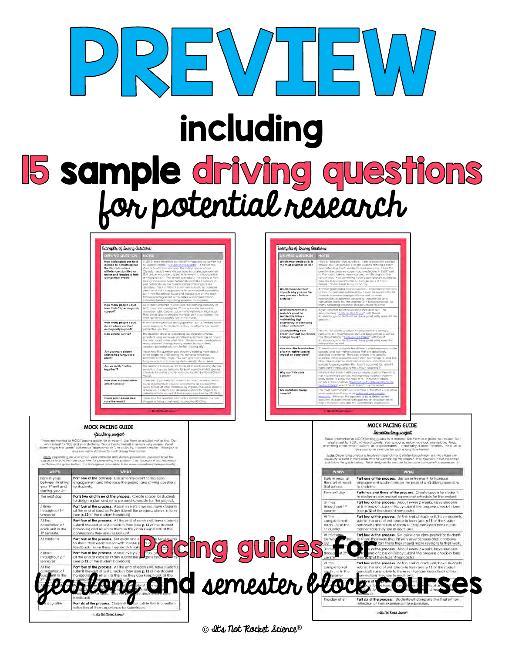

# including

# **15 sample driving questions**<br>for potential research

| <b>DRIVING QUESTION</b><br><b>NIDTES</b>                                                                                                                          |                                                                                                                                                                                                                                                                                                                                                                                                                                                                                                                                                                                                                                                                                                                                                                                                                                  |  |  |  |  |
|-------------------------------------------------------------------------------------------------------------------------------------------------------------------|----------------------------------------------------------------------------------------------------------------------------------------------------------------------------------------------------------------------------------------------------------------------------------------------------------------------------------------------------------------------------------------------------------------------------------------------------------------------------------------------------------------------------------------------------------------------------------------------------------------------------------------------------------------------------------------------------------------------------------------------------------------------------------------------------------------------------------|--|--|--|--|
|                                                                                                                                                                   |                                                                                                                                                                                                                                                                                                                                                                                                                                                                                                                                                                                                                                                                                                                                                                                                                                  |  |  |  |  |
| Now is blological sex best<br>defined for samething like<br>the Chymoles where<br>attietes are classified as<br>makes and females in their<br>competitive events? | in 2012 I read on article out of ESPN magazine by Samantha.<br>M. Shapko called. "Caught is The Martle". If caivers the<br>story of Santhi Soundarisian. The indian runner whose<br>Olympic medals were dilipped due for a lated gender feel.<br>(fhis orficial would be a great entry event to introduce this<br>direty question). The article liails about the history of how<br>basicalcollass has been defined through the Olympics as<br>well as Introduces free complications of faciloscut rest<br>dievative. This is a FKTNLY controversial laplic, so consigns<br>witellier or not it is appropriate for your thickell appointing.<br>but I think the afficed issue and incellection, on the meet.<br>fornout sporting avant in this entire world make this on-<br>incredibly fascinating driving senation to consoler. |  |  |  |  |
| How many people could<br>New York City ecologically<br>support?                                                                                                   | As Mudants offerings to calculate the conving circacity of<br>NYC. Risk can humanize theories and has a real<br>Joanne bonit yusunman bilan Juan Andrea, Ndal Jean-Hinny<br>They brough gracimizes got a Mumbel. But is confidented the<br>most densay patricited on in the word.                                                                                                                                                                                                                                                                                                                                                                                                                                                                                                                                                |  |  |  |  |
| How many people could<br>(inself where you live)<br>ecologically support?                                                                                         | A helf on the premoce aming question. But potentially inser-<br>inore engaging for students as they myselligate the roscitic.<br>elacie High sources                                                                                                                                                                                                                                                                                                                                                                                                                                                                                                                                                                                                                                                                             |  |  |  |  |
| Con Verdee survive?                                                                                                                                               | friii question drives a fasciscologi investigation into thu-<br>alfection king we invest and the major. High hos an one of<br>The mail loonic clier plus time, 15 udenti can investigate to<br>many wierant binmalneering witched tapics as frey<br>immersch polaintial solutions for this "tinking city".                                                                                                                                                                                                                                                                                                                                                                                                                                                                                                                       |  |  |  |  |
| Are you more closely<br>related to a fungus or a<br>plicent?                                                                                                      | How may thing and the students nothing a company was<br>other's experience ArtD exempt the inverse service that<br>between of twing things. You can are them a specific<br>funbur on sistent to investigate to stream. If you derive.                                                                                                                                                                                                                                                                                                                                                                                                                                                                                                                                                                                            |  |  |  |  |
| Are we really "better<br>together?                                                                                                                                | This countries is designed by students to really investigate the<br>evalution at projet behavior for both individual Mila species.<br>chances to wiving and reproduce (inscient by HS1.03-8 from<br>NGESSI.                                                                                                                                                                                                                                                                                                                                                                                                                                                                                                                                                                                                                      |  |  |  |  |
| How does eutrophication<br>Cromut toola                                                                                                                           | Flows this opportunity for truggents to lock at environments).<br>illures specificatly in casculut economisticate as we are officer<br>quick to look at what www.glately impacts me world prects.<br>arbund in: Students can develop solutions to mitigate to<br>opporter affects as part of their project (iterared by H3-L54-5)                                                                                                                                                                                                                                                                                                                                                                                                                                                                                                |  |  |  |  |
| Could plant-based diets<br>saye the world?                                                                                                                        | I love frow this question ponnects a modern loa to the real<br>imizatik of living justalnably lingsing living (SFA).                                                                                                                                                                                                                                                                                                                                                                                                                                                                                                                                                                                                                                                                                                             |  |  |  |  |

| Examples of Driving Questions:                                                                                                              |                                                                                                                                                                                                                                                                                                                                                                                                                                                                         |  |  |  |  |
|---------------------------------------------------------------------------------------------------------------------------------------------|-------------------------------------------------------------------------------------------------------------------------------------------------------------------------------------------------------------------------------------------------------------------------------------------------------------------------------------------------------------------------------------------------------------------------------------------------------------------------|--|--|--|--|
| <b>DRIVING QUESTION</b>                                                                                                                     | <b>NOTES</b>                                                                                                                                                                                                                                                                                                                                                                                                                                                            |  |  |  |  |
| Which macromoloculos is<br>the most essential for life?                                                                                     | tels is a "debate" style guestion. There is absolutely no right -<br>answer, but the purpose is to get students making a claim.<br>and defending If with evidence and realizining. Llove this<br>question because we cover macromolecules in EVBIY unit.<br>to they can make to many comections throughout this<br>schuckyway, Also spreelling I love about debizte questions:<br>they are this researchable on Google since a biger<br>anywe" doesn't east manufactive |  |  |  |  |
| Which molecule most<br>impacts why you are the<br>way you gre - DNA or<br>proteins?                                                         | Antifae gred design (We question, 1 love the commiction)<br>formacromolecules and heardity. Flows the legantivity for<br>students to tessperch edigenellas as well as moke<br>connections to dispose countd by transcription and<br>franklitting errors, that the ongings DNA being multitled. Ic-<br>many interesting directions students could figure inju-                                                                                                           |  |  |  |  |
| What matters most in<br>society's quest for<br>sustainable living -<br>maintaining high<br>blodiversity or controlling<br>carbon emissions? | Agigin, ghother potential debote trye question. The<br>documentary "A Life on Dut Figure" with Bayed<br>alternoorsugh on fletthe would be a great withy avant to the<br>customic.                                                                                                                                                                                                                                                                                       |  |  |  |  |
| Could planting frees<br><b>REALLY combat our climate</b><br>change lisues?                                                                  | this you lion assimts so simple for all gut crimate changes<br>pothierrs, but main is inclu molecular training turn interest<br>The documentary "A Life go Out Figure" with Dovid<br>Allenborough on Helfts-would be a gwal withy event for<br>Relative and Helpington                                                                                                                                                                                                  |  |  |  |  |
| How does the introduction<br>of a non-native species.<br>Impact on ecosystem?                                                               | Students can investigate the difference between non-usalizer<br>spinsles and navnative species that are specifically<br>clossing in avestra. They serve hoose one year. The<br>asonow while a specific ecosystem to investigate, and tak-<br>about the imaginary molicisticns of an interstuction of a<br>special for an economers that have I cocurred (E). What if<br>figers were infractuced to the ANicon taygang ill                                               |  |  |  |  |
| Why can't we clus<br>cancer?                                                                                                                | city manths allows that will have some file to happy your United<br>has experienced chhoer, making this a question Muderity.<br>really detire to know the provier to. Showing students<br>Ifafilitics about caricer (the migst up to date numbers con-<br>be its inti hard, would be on importful entry event.                                                                                                                                                          |  |  |  |  |
| Are mulgillons giveys<br>harmful?                                                                                                           | This most commonly known example of this (that could serve<br>preter that leg ed to is think the main think and<br>mercially. Affliciable this applies to be a simple yearns.<br>guestion illustration of the your plug should registere in<br>many mutalisies and also the evastilizing impliciti                                                                                                                                                                      |  |  |  |  |

#### MOCK PACING GUIDE **MOCK PACING GUIDE** Semester long project yearlong project ha quides for a re Use fix id as MOCF p im for o're Part one of the process. Use an entry event to increzily in year; r<br>e start of we Part one of the process. Use an entry event to increase<br>engagement and introduce the project and driving questions nt and ining kice the project and diving questions in Tinishing engagements. 3 of school o students. arting your 2" he next day Parts two and three of the process. Create space for student Parts two and three of the process. Create space for student<br>to design a plan and set a personal schedule for the project, o dasign a plan and sel a personal schedule for the project Part four of the process. About every 2 weeks, ht<br>at the end of class on Friday submit the progress. **Part four of the process**. About every 2-3 weeks, have student<br>at the end of class on Friday submit the progress check-in form t the end of class on thady supm<br>ee <mark>p.12</mark> of the student handeuts) throughout 1st see p.12 of the student handouts). **Part four of the process**. At the end of each unit, have:<br>whmit the ond at unit check-in form (see **p.13** of the sti has present the process. All the end of each unii, have sludent<br>Submit the ancient chart chart form has a 13 of the student Al the completion c<br>each unit in I he end of unit check-in form (see **p.13** of the student<br>N) and return to them so they can keep frack of the **Part four of the process**. Suit aside one a<br>to share their work thus far with several teedback. From there they should mak **PACING CUICES** Part four of the process. About every 2-3<br>of the and of class on Friday submit the<br>(see p.12 of the student handous), Yearlong and semester block course **Cultip Time Toylor Animal**

© It's Not Rocket Science®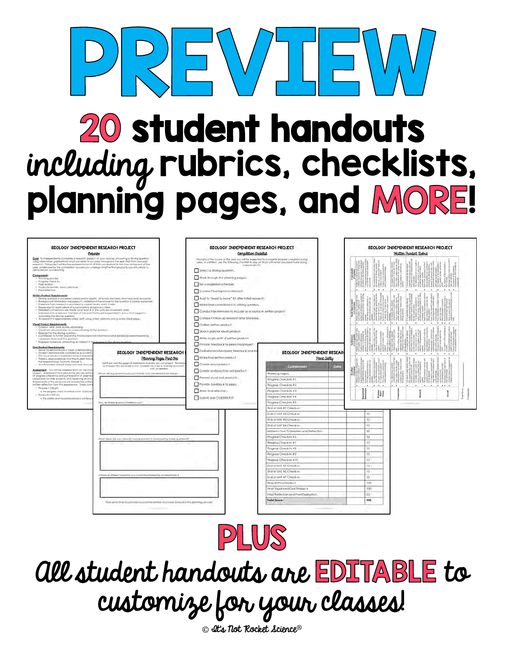# REWJ  $\Box \Xi \backslash \Box$ **20 student handouts** including rubrics, checklists, planning pages, and MORE!

| BIOLOGY INDEPENDENT RESEARCH PROJECT<br>Overview                                                                                                                                                                                                                                                                                                                                                                                                                                                                                                                                                                                                                                                                                                                                                                                                                              |                                                                                                                                                                                                         | BIOLOGY INDEPENDENT RESEARCH PROJECT<br>Completion Checklist                                                                                                                                                                                                                                                       |                                                                              | BIOLOGY INDEPENDENT RESEARCH PROJECT<br>Whitten Product Ruleic |  |  |
|-------------------------------------------------------------------------------------------------------------------------------------------------------------------------------------------------------------------------------------------------------------------------------------------------------------------------------------------------------------------------------------------------------------------------------------------------------------------------------------------------------------------------------------------------------------------------------------------------------------------------------------------------------------------------------------------------------------------------------------------------------------------------------------------------------------------------------------------------------------------------------|---------------------------------------------------------------------------------------------------------------------------------------------------------------------------------------------------------|--------------------------------------------------------------------------------------------------------------------------------------------------------------------------------------------------------------------------------------------------------------------------------------------------------------------|------------------------------------------------------------------------------|----------------------------------------------------------------|--|--|
| Geet To independently complete a relearch project, of your choice, amivem g a driving question<br>mile may men then tone real functionally and was a water that they have the the collect had the transport and<br>research. This project will be the representation of of that you manual in this class as the end of the<br>yepi, evidenced by the contaetten pocose you undergo and the tinat procucity you will create to<br>demonstrate your seaming.                                                                                                                                                                                                                                                                                                                                                                                                                    |                                                                                                                                                                                                         | Those gives if the docume of the seal you, will be expected to competite program create instance.<br>olitic in artifician said the fallowing checklet to stay on those with what you need to be clong<br>independently!<br>Select a driving quartien.                                                              |                                                                              |                                                                |  |  |
| Components<br>. Finnning process<br>in. Program Ehera inc.<br>. Feer ravisors<br>. Fraskych (williem, your) [ and long)<br>+ Enginementon                                                                                                                                                                                                                                                                                                                                                                                                                                                                                                                                                                                                                                                                                                                                     |                                                                                                                                                                                                         | . Work through the planning pages.<br>Xet companion schedule.                                                                                                                                                                                                                                                      |                                                                              |                                                                |  |  |
| Writen Product Requirements'<br>· Driving question is servywhed cleavy and in shight. All words are clear, informed, and recommen<br>. Bookground information necessary to understand the answer to the question is investy excitation.<br>4 EVateriale from newarch is provided to wipport wivey chim mode.<br>. Requering for each piece of substantiating evidence it clear.<br>. Detailed connections are made ((i a) least # of the unit we covered in class.<br>+ Interview with a relevant mentale at the community a incorporated in a worlthat support-<br>amweng the driving question.<br>. All respects is appropriately cried, both select initial criticians and a works alled paper.<br>Visual Product Requirements:<br>+ Coartal nam, and yavany appealing.<br>. Dealively derminations an understanding at the auxiliant<br>External to the driving question. |                                                                                                                                                                                                         | Contract background research.<br>Add to "numid fu know" fill althy initial instranch.<br>. Make find cannellment to diving question.<br>Conduct an interview to include as a series in written project.<br>Conduct follow up review? aller Interview.<br>Outline written product<br>Skelch plan for visual product |                                                                              |                                                                |  |  |
| + Convibiutes in furnist exploring finishockground information and anigence-board reasoning<br>racement to one we the question.<br>. Engages civiliance, premoting on interest in the drawer to the diving question<br><b>Crol Froduct Requirements:</b>                                                                                                                                                                                                                                                                                                                                                                                                                                                                                                                                                                                                                      |                                                                                                                                                                                                         | Write rough dealt of written product.<br>Provide Innations to peers mid-project                                                                                                                                                                                                                                    |                                                                              |                                                                |  |  |
| Serves to demonstrate is bleat understanding<br>· Sludent Sempartiales confidence and signs<br>. The electricity is referenced good explorer<br>. There is clear invidence that the student has a<br>first research tody found to provincil.<br>i All information shared is relevant and accura-                                                                                                                                                                                                                                                                                                                                                                                                                                                                                                                                                                              | BIOLOGY INDEPENDENT RESEARCH<br>Flanning Pages Part One<br>last thank your this pages to be entered and plan sut your project. Perman<br>as this gentla be note to the Consen be like a "voking constru | Evaluate moeived peer leedback and m<br>Moke final willen product<br>Create visual praduct.                                                                                                                                                                                                                        | <b>BIOLOGY INDEPENDENT RESEARS</b><br>Point Jatty<br>Component<br>Dote       |                                                                |  |  |
| Assessment: Tou will be greened both an the pro-<br>project. Assessment forpughout line process will in-<br>of progress check-ins, and participation in peer-ne<br>classimates on their projects, and receiving and or<br>Assessments of the products will include the writter<br>written reflection from the experience. There com<br>+ Process = 253 phi                                                                                                                                                                                                                                                                                                                                                                                                                                                                                                                    | a with an executive<br>Which illining qualified a you integrity meet interested in thus by the                                                                                                          | Greate and prochoo ara product<br>Prevent visual oral products.<br>Provide (endback to peer)                                                                                                                                                                                                                       | Planning Pages<br>Wogress Check-In-#1<br>Progress Check-In #2                | $\cdots$<br>٠.                                                 |  |  |
| -> The progress check in will be worth 15 phone<br>- Roducts = 250 ph-<br>+ The written and Visibilitysi products with paid                                                                                                                                                                                                                                                                                                                                                                                                                                                                                                                                                                                                                                                                                                                                                   | Wris de Hymn quaster il immediately                                                                                                                                                                     | Write implyintentian.<br>Sobmit and CELEBRATE!!!                                                                                                                                                                                                                                                                   | Progress Check-In a.3<br>Program Checken #4<br>Progress Check-In #5          |                                                                |  |  |
|                                                                                                                                                                                                                                                                                                                                                                                                                                                                                                                                                                                                                                                                                                                                                                                                                                                                               |                                                                                                                                                                                                         |                                                                                                                                                                                                                                                                                                                    | End of UNI #1 Cirect-in<br>End of Ind #2 Check-in<br>mo at trut #3 Check-la  | ¥0<br>IO.                                                      |  |  |
|                                                                                                                                                                                                                                                                                                                                                                                                                                                                                                                                                                                                                                                                                                                                                                                                                                                                               |                                                                                                                                                                                                         |                                                                                                                                                                                                                                                                                                                    | <b>Brid of Unit #4 Check-In</b><br>Midterm Faur Evaluation and Fathection    | 10<br>30 <sub>1</sub>                                          |  |  |
|                                                                                                                                                                                                                                                                                                                                                                                                                                                                                                                                                                                                                                                                                                                                                                                                                                                                               | Rival lakes are you directly huyeg money to investigating time questions.                                                                                                                               |                                                                                                                                                                                                                                                                                                                    | Progress Chuckin #6<br>PROGROM CTHICK-TO B7                                  | 10<br>10                                                       |  |  |
|                                                                                                                                                                                                                                                                                                                                                                                                                                                                                                                                                                                                                                                                                                                                                                                                                                                                               |                                                                                                                                                                                                         |                                                                                                                                                                                                                                                                                                                    | Progress Check-In #B<br>Rogram Check in #9                                   | ID-<br>ID.                                                     |  |  |
|                                                                                                                                                                                                                                                                                                                                                                                                                                                                                                                                                                                                                                                                                                                                                                                                                                                                               |                                                                                                                                                                                                         |                                                                                                                                                                                                                                                                                                                    | Prograss Check-In #10<br>End of Unit #5 Check-In<br>End of thill #4 Check in | 10 <sup>1</sup><br>ID-<br>10.                                  |  |  |
|                                                                                                                                                                                                                                                                                                                                                                                                                                                                                                                                                                                                                                                                                                                                                                                                                                                                               | (Howe a different location your excells buy Harming) in reasonable (I)                                                                                                                                  |                                                                                                                                                                                                                                                                                                                    | End of lini #7 Check in<br><b>Bings Within Product</b>                       | 10<br>i00                                                      |  |  |
|                                                                                                                                                                                                                                                                                                                                                                                                                                                                                                                                                                                                                                                                                                                                                                                                                                                                               |                                                                                                                                                                                                         |                                                                                                                                                                                                                                                                                                                    | Final Viwal and Oral Products<br>Final Rethrolion and Firm Evaluation        | IOO:<br>A/X+                                                   |  |  |
|                                                                                                                                                                                                                                                                                                                                                                                                                                                                                                                                                                                                                                                                                                                                                                                                                                                                               | This some line listomidal visitoolibe belies sources Envaro in the planning record                                                                                                                      |                                                                                                                                                                                                                                                                                                                    | Total Scare:                                                                 | 500                                                            |  |  |



# all student handouts are EDITABLE to customize for your classes!

© It's Not Rocket Science®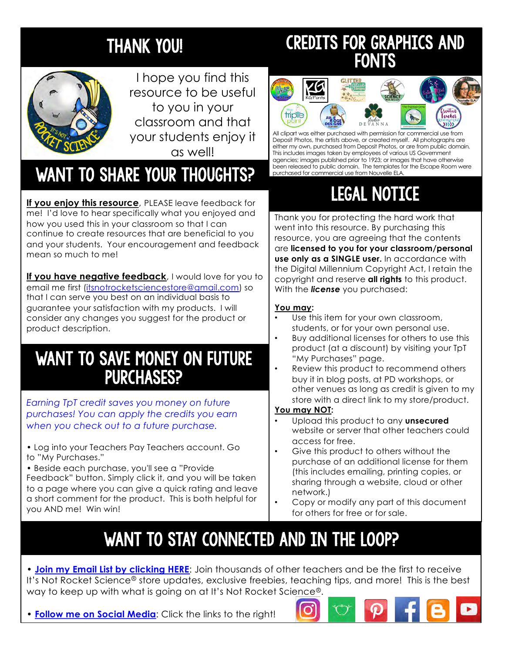# THANK YOU!



I hope you find this resource to be useful to you in your classroom and that your students enjoy it as well!

# WANT TO SHARE YOUR THOUGHTS?

**If you enjoy this resource**, PLEASE leave feedback for me! I'd love to hear specifically what you enjoyed and how you used this in your classroom so that I can continue to create resources that are beneficial to you and your students. Your encouragement and feedback mean so much to me!

**If you have negative feedback**, I would love for you to email me fi[rst \(itsnotrocketsciencestore@gmail.c](mailto:itsnotrocketsciencestore@gmail.com)om) so that I can serve you best on an individual basis to guarantee your satisfaction with my products. I will consider any changes you suggest for the product or product description.

# WANT TO SAVE MONEY ON FUTURE PURCHASES?

*Earning TpT credit saves you money on future purchases! You can apply the credits you earn when you check out to a future purchase.*

• Log into your Teachers Pay Teachers account. Go to "My Purchases."

• Beside each purchase, you'll see a "Provide Feedback" button. Simply click it, and you will be taken to a page where you can give a quick rating and leave a short comment for the product. This is both helpful for you AND me! Win win!

# CREDITS FOR GRAPHICS AND **FONTS**



All clipart was either purchased with permission for commercial use from Deposit Photos, the artists above, or created myself. All photographs are either my own, purchased from Deposit Photos, or are from public domain. This includes images taken by employees of various US Government agencies; images published prior to 1923; or images that have otherwise been released to public domain. The templates for the Escape Room were purchased for commercial use from [Nouvelle ELA](https://www.teacherspayteachers.com/Product/Escape-Room-and-Breakout-Box-Template-Kit-Commercial-Use-3411854).

# LEGAL NOTICE

Thank you for protecting the hard work that went into this resource. By purchasing this resource, you are agreeing that the contents are **licensed to you for your classroom/personal use only as a SINGLE user.** In accordance with the Digital Millennium Copyright Act, I retain the copyright and reserve **all rights** to this product. With the *license* you purchased:

### **You may:**

- Use this item for your own classroom, students, or for your own personal use.
- Buy additional licenses for others to use this product (at a discount) by visiting your TpT "My Purchases" page.
- Review this product to recommend others buy it in blog posts, at PD workshops, or other venues as long as credit is given to my store with a direct link to my store/product.

### **You may NOT:**

- Upload this product to any **unsecured** website or server that other teachers could access for free.
- Give this product to others without the purchase of an additional license for them (this includes emailing, printing copies, or sharing through a website, cloud or other network.)
- Copy or modify any part of this document for others for free or for sale.

# WANT TO STAY CONNECTED AND IN THE LOOP?

• **[Join my Email List by clicking HERE](https://app.convertkit.com/landing_pages/314452?v=6)**: Join thousands of other teachers and be the first to receive It's Not Rocket Science® store updates, exclusive freebies, teaching tips, and more! This is the best way to keep up with what is going on at It's Not Rocket Science®.

• **Follow me on Social Media**: Click the links to the right!